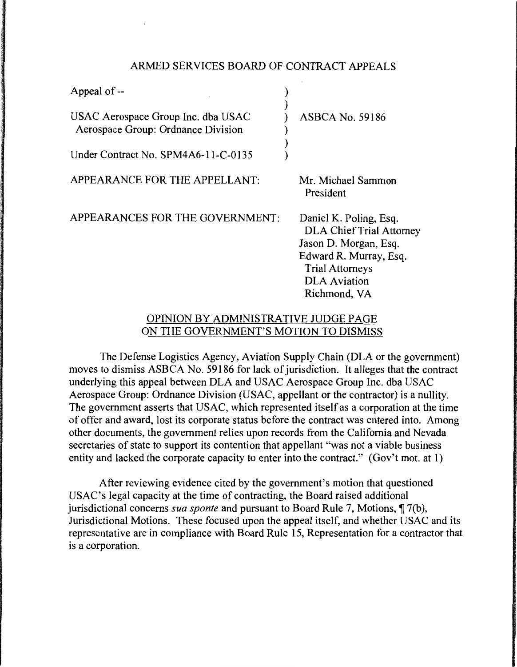### ARMED SERVICES BOARD OF CONTRACT APPEALS

| Appeal of --                                                             |                                                                                                                                                                               |
|--------------------------------------------------------------------------|-------------------------------------------------------------------------------------------------------------------------------------------------------------------------------|
| USAC Aerospace Group Inc. dba USAC<br>Aerospace Group: Ordnance Division | <b>ASBCA No. 59186</b>                                                                                                                                                        |
| Under Contract No. SPM4A6-11-C-0135                                      |                                                                                                                                                                               |
| APPEARANCE FOR THE APPELLANT:                                            | Mr. Michael Sammon<br>President                                                                                                                                               |
| APPEARANCES FOR THE GOVERNMENT:                                          | Daniel K. Poling, Esq.<br><b>DLA Chief Trial Attorney</b><br>Jason D. Morgan, Esq.<br>Edward R. Murray, Esq.<br><b>Trial Attorneys</b><br><b>DLA</b> Aviation<br>Richmond, VA |

# OPINION BY ADMINISTRATIVE JUDGE PAGE ON THE GOVERNMENT'S MOTION TO DISMISS

The Defense Logistics Agency, Aviation Supply Chain (DLA or the government) moves to dismiss ASBCA No. 59186 for lack of jurisdiction. It alleges that the contract underlying this appeal between DLA and USAC Aerospace Group Inc. dba USAC Aerospace Group: Ordnance Division (USAC, appellant or the contractor) is a nullity. The government asserts that USAC, which represented itself as a corporation at the time of offer and award, lost its corporate status before the contract was entered into. Among other documents, the government relies upon records from the California and Nevada secretaries of state to support its contention that appellant "was not a viable business" entity and lacked the corporate capacity to enter into the contract." (Gov't mot. at 1)

After reviewing evidence cited by the government's motion that questioned USAC's legal capacity at the time of contracting, the Board raised additional jurisdictional concerns *sua sponte* and pursuant to Board Rule 7, Motions, ¶ 7(b), Jurisdictional Motions. These focused upon the appeal itself, and whether USAC and its representative are in compliance with Board Rule 15, Representation for a contractor that is a corporation.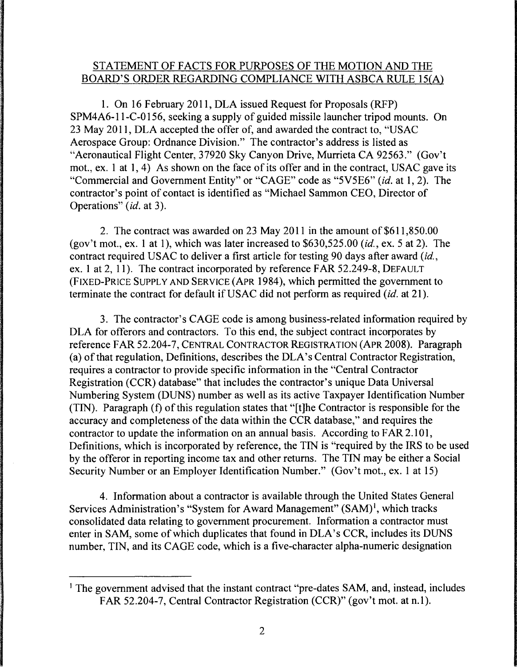# STATEMENT OF FACTS FOR PURPOSES OF THE MOTION AND THE BOARD'S ORDER REGARDING COMPLIANCE WITH ASBCA RULE 15(A)

1. On 16 February 2011, DLA issued Request for Proposals (RFP) SPM4A6-l l-C-O 156, seeking a supply of guided missile launcher tripod mounts. On 23 May 2011, DLA accepted the offer of, and awarded the contract to, "USAC Aerospace Group: Ordnance Division." The contractor's address is listed as "Aeronautical Flight Center, 37920 Sky Canyon Drive, Murrieta CA 92563." (Gov't mot., ex. 1 at 1, 4) As shown on the face of its offer and in the contract, USAC gave its "Commercial and Government Entity" or "CAGE" code as "5V5E6" *(id.* at 1, 2). The contractor's point of contact is identified as "Michael Sammon CEO, Director of Operations" *(id.* at 3).

2. The contract was awarded on 23 May 2011 in the amount of \$611,850.00 (gov't mot., ex. 1 at 1), which was later increased to \$630,525.00 *(id.,* ex. 5 at 2). The contract required USAC to deliver a first article for testing 90 days after award *(id.,*  ex. 1 at 2, 11). The contract incorporated by reference FAR 52.249-8, DEFAULT (FIXED-PRICE SUPPLY AND SERVICE (APR 1984), which permitted the government to terminate the contract for default if USAC did not perform as required (id. at 21).

3. The contractor's CAGE code is among business-related information required by DLA for offerors and contractors. To this end, the subject contract incorporates by reference FAR 52.204-7, CENTRAL CONTRACTOR REGISTRATION (APR 2008). Paragraph (a) of that regulation, Definitions, describes the DLA's Central Contractor Registration, requires a contractor to provide specific information in the "Central Contractor Registration (CCR) database" that includes the contractor's unique Data Universal Numbering System (DUNS) number as well as its active Taxpayer Identification Number (TIN). Paragraph (f) of this regulation states that "[t]he Contractor is responsible for the accuracy and completeness of the data within the CCR database," and requires the contractor to update the information on an annual basis. According to FAR 2.101, Definitions, which is incorporated by reference, the TIN is "required by the IRS to be used by the offeror in reporting income tax and other returns. The TIN may be either a Social Security Number or an Employer Identification Number." (Gov't mot., ex. 1 at 15)

4. Information about a contractor is available through the United States General Services Administration's "System for Award Management" (SAM)<sup>1</sup>, which tracks consolidated data relating to government procurement. Information a contractor must enter in SAM, some of which duplicates that found in DLA's CCR, includes its DUNS number, TIN, and its CAGE code, which is a five-character alpha-numeric designation

<sup>&</sup>lt;sup>1</sup> The government advised that the instant contract "pre-dates SAM, and, instead, includes FAR 52.204-7, Central Contractor Registration (CCR)" (gov't mot. at n.l).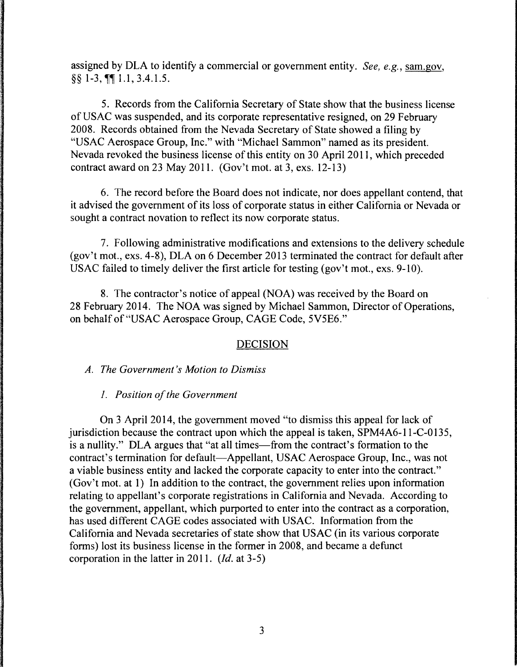assigned by DLA to identify a commercial or government entity. *See, e.g.,* sam.gov,  $\S$ § 1-3,  $\P$  $\P$  1.1, 3.4. 1.5.

5. Records from the California Secretary of State show that the business license of USAC was suspended, and its corporate representative resigned, on 29 February 2008. Records obtained from the Nevada Secretary of State showed a filing by "USAC Aerospace Group, Inc." with "Michael Sammon" named as its president. Nevada revoked the business license of this entity on 30 April 2011, which preceded contract award on 23 May 2011. (Gov't mot. at 3, exs. 12-13)

6. The record before the Board does not indicate, nor does appellant contend, that it advised the government of its loss of corporate status in either California or Nevada or sought a contract novation to reflect its now corporate status.

7. Following administrative modifications and extensions to the delivery schedule (gov't mot., exs. 4-8), DLA on 6 December 2013 terminated the contract for default after USAC failed to timely deliver the first article for testing (gov't mot., exs. 9-10).

8. The contractor's notice of appeal (NOA) was received by the Board on 28 February 2014. The NOA was signed by Michael Sammon, Director of Operations, on behalf of "USAC Aerospace Group, CAGE Code, 5V5E6."

# DECISION

*A. The Government's Motion to Dismiss* 

*1. Position of the Government* 

On 3 April 2014, the government moved "to dismiss this appeal for lack of jurisdiction because the contract upon which the appeal is taken, SPM4A6-l l-C-0135, is a nullity." DLA argues that "at all times—from the contract's formation to the contract's termination for default-Appellant, USAC Aerospace Group, Inc., was not a viable business entity and lacked the corporate capacity to enter into the contract." (Gov't mot. at I) In addition to the contract, the government relies upon information relating to appellant's corporate registrations in California and Nevada. According to the government, appellant, which purported to enter into the contract as a corporation, has used different CAGE codes associated with USAC. Information from the California and Nevada secretaries of state show that USAC (in its various corporate forms) lost its business license in the former in 2008, and became a defunct corporation in the latter in 2011. *(Id.* at 3-5)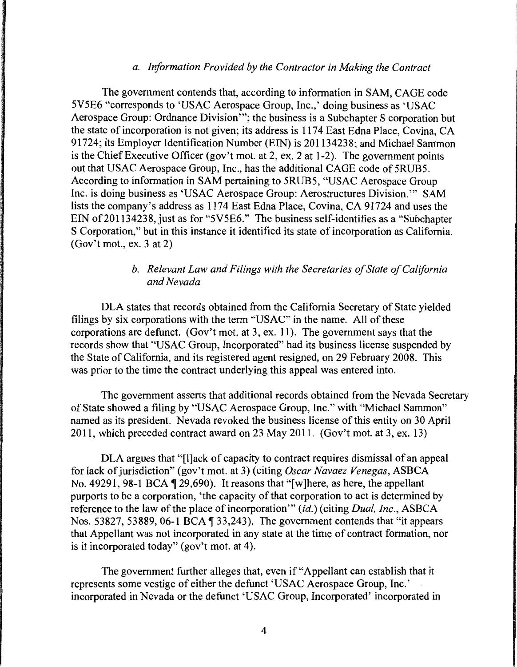#### *a. Information Provided by the Contractor in Making the Contract*

The government contends that, according to information in SAM, CAGE code 5V5E6 "corresponds to 'USAC Aerospace Group, Inc.,' doing business as 'USAC Aerospace Group: Ordnance Division"'; the business is a Subchapter S corporation but the state of incorporation is not given; its address is 1174 East Edna Place, Covina, CA 91724; its Employer Identification Number (EIN) is 201134238; and Michael Sammon is the Chief Executive Officer (gov't mot. at 2, ex. 2 at 1-2). The government points out that USAC Aerospace Group, Inc., has the additional CAGE code of 5RUB5. According to information in SAM pertaining to 5RUB5, "USAC Aerospace Group Inc. is doing business as 'USAC Aerospace Group: Aerostructures Division."' SAM lists the company's address as 1174 East Edna Place, Covina, CA 91724 and uses the EIN of 201134238, just as for "5V5E6." The business self-identifies as a "Subchapter S Corporation," but in this instance it identified its state of incorporation as California. (Gov't mot., ex. 3 at 2)

## *b. Relevant Law and Filings with the Secretaries of State of California and Nevada*

DLA states that records obtained from the California Secretary of State yielded filings by six corporations with the term "USAC" in the name. All of these corporations are defunct. (Gov't mot. at 3, ex. 11 ). The government says that the records show that "USAC Group, Incorporated" had its business license suspended by the State of California, and its registered agent resigned, on 29 February 2008. This was prior to the time the contract underlying this appeal was entered into.

The government asserts that additional records obtained from the Nevada Secretary of State showed a filing by "USAC Aerospace Group, Inc." with "Michael Sammon" named as its president. Nevada revoked the business license of this entity on 30 April 2011, which preceded contract award on 23 May 2011. (Gov't mot. at 3, ex. 13)

DLA argues that "[l]ack of capacity to contract requires dismissal of an appeal for lack of jurisdiction" (gov't mot. at 3) (citing *Oscar Navaez Venegas,* ASBCA No. 49291, 98-1 BCA  $\P$  29,690). It reasons that "[w]here, as here, the appellant purports to be a corporation, 'the capacity of that corporation to act is determined by reference to the law of the place of incorporation"' *(id.)* (citing *Dual, Inc.,* ASBCA Nos. 53827, 53889, 06-1 BCA  $\P$ 33,243). The government contends that "it appears that Appellant was not incorporated in any state at the time of contract formation, nor is it incorporated today" (gov't mot. at 4).

The government further alleges that, even if "Appellant can establish that it represents some vestige of either the defunct 'USAC Aerospace Group, Inc.' incorporated in Nevada or the defunct 'USAC Group, Incorporated' incorporated in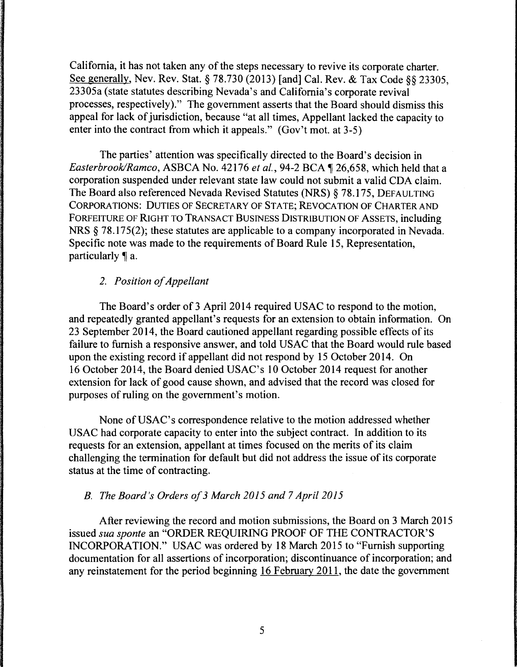California, it has not taken any of the steps necessary to revive its corporate charter. See generally, Nev. Rev. Stat. § 78.730 (2013) [and] Cal. Rev. & Tax Code§§ 23305, 23305a (state statutes describing Nevada's and California's corporate revival processes, respectively)." The government asserts that the Board should dismiss this appeal for lack of jurisdiction, because "at all times, Appellant lacked the capacity to enter into the contract from which it appeals." (Gov't mot. at 3-5)

The parties' attention was specifically directed to the Board's decision in *Easterbrook/Ramco, ASBCA No. 42176 et al., 94-2 BCA* 126,658, which held that a corporation suspended under relevant state law could not submit a valid CDA claim. The Board also referenced Nevada Revised Statutes (NRS) § 78.175, DEFAULTING CORPORATIONS: DUTIES OF SECRETARY OF STATE; REVOCATION OF CHARTER AND FORFEITURE OF RIGHT TO TRANSACT BUSINESS DISTRIBUTION OF ASSETS, including NRS § 78.175(2); these statutes are applicable to a company incorporated in Nevada. Specific note was made to the requirements of Board Rule 15, Representation, particularly  $\P$  a.

## *2. Position of Appellant*

The Board's order of 3 April 2014 required USAC to respond to the motion, and repeatedly granted appellant's requests for an extension to obtain information. On 23 September 2014, the Board cautioned appellant regarding possible effects of its failure to furnish a responsive answer, and told USAC that the Board would rule based upon the existing record if appellant did not respond by 15 October 2014. On 16 October 2014, the Board denied USAC's 10 October 2014 request for another extension for lack of good cause shown, and advised that the record was closed for purposes of ruling on the government's motion.

None of USAC's correspondence relative to the motion addressed whether USAC had corporate capacity to enter into the subject contract. In addition to its requests for an extension, appellant at times focused on the merits of its claim challenging the termination for default but did not address the issue of its corporate status at the time of contracting.

### *B. The Board's Orders of 3 March 2015 and* 7 *April 2015*

After reviewing the record and motion submissions, the Board on 3 March 2015 issued *sua sponte* an "ORDER REQUIRING PROOF OF THE CONTRACTOR'S INCORPORATION." USAC was ordered by 18 March 2015 to "Furnish supporting documentation for all assertions of incorporation; discontinuance of incorporation; and any reinstatement for the period beginning 16 February 2011, the date the government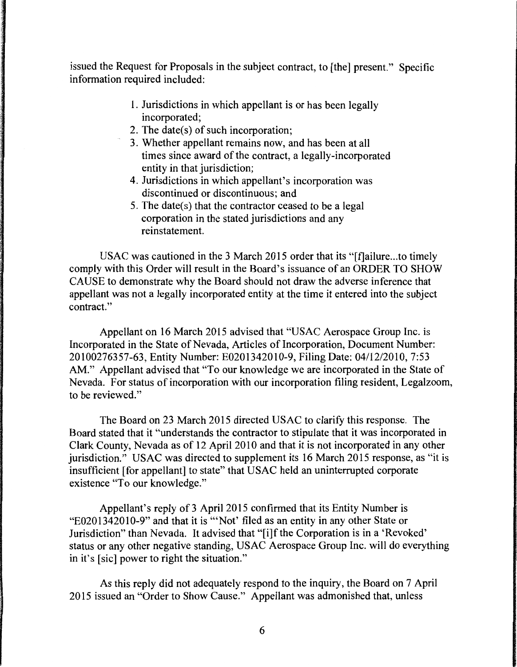issued the Request for Proposals in the subject contract, to [the] present." Specific information required included:

- 1. Jurisdictions in which appellant is or has been legally incorporated;
- 2. The date(s) of such incorporation;
- 3. Whether appellant remains now, and has been at all times since award of the contract, a legally-incorporated entity in that jurisdiction;
- 4. Jurisdictions in which appellant's incorporation was discontinued or discontinuous; and
- 5. The date(s) that the contractor ceased to be a legal corporation in the stated jurisdictions and any reinstatement.

USAC was cautioned in the 3 March 2015 order that its "[f]ailure...to timely comply with this Order will result in the Board's issuance of an ORDER TO SHOW CAUSE to demonstrate why the Board should not draw the adverse inference that appellant was not a legally incorporated entity at the time it entered into the subject contract."

Appellant on 16 March 2015 advised that "USAC Aerospace Group Inc. is Incorporated in the State of Nevada, Articles of Incorporation, Document Number: 20100276357-63, Entity Number: E0201342010-9, Filing Date: 04/12/2010, 7:53 AM." Appellant advised that "To our knowledge we are incorporated in the State of Nevada. For status of incorporation with our incorporation filing resident, Legalzoom, to be reviewed."

The Board on 23 March 2015 directed USAC to clarify this response. The Board stated that it "understands the contractor to stipulate that it was incorporated in Clark County, Nevada as of 12 April 2010 and that it is not incorporated in any other jurisdiction." USAC was directed to supplement its 16 March 2015 response, as "it is insufficient [for appellant] to state" that USAC held an uninterrupted corporate existence "To our knowledge."

Appellant's reply of 3 April 2015 confirmed that its Entity Number is "E0201342010-9" and that it is '"Not' filed as an entity in any other State or Jurisdiction" than Nevada. It advised that "[i]f the Corporation is in a 'Revoked' status or any other negative standing, USAC Aerospace Group Inc. will do everything in it's [sic] power to right the situation."

As this reply did not adequately respond to the inquiry, the Board on 7 April 2015 issued an "Order to Show Cause." Appellant was admonished that, unless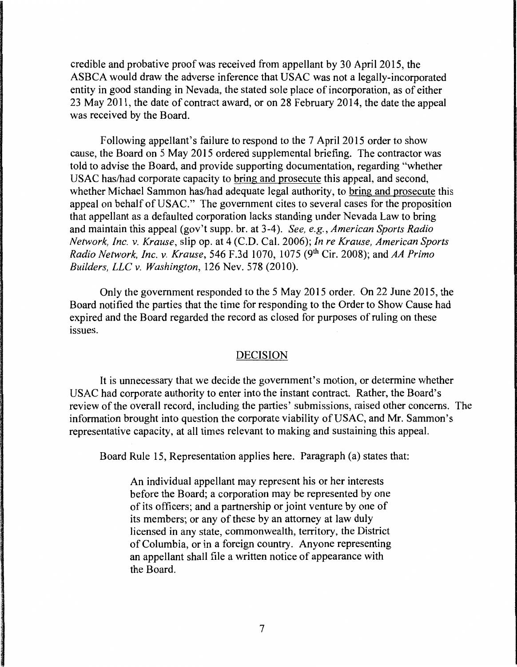credible and probative proof was received from appellant by 30 April 2015, the ASBCA would draw the adverse inference that USAC was not a legally-incorporated entity in good standing in Nevada, the stated sole place of incorporation, as of either 23 May 2011, the date of contract award, or on 28 February 2014, the date the appeal was received by the Board.

Following appellant's failure to respond to the 7 April 2015 order to show cause, the Board on 5 May 2015 ordered supplemental briefing. The contractor was told to advise the Board, and provide supporting documentation, regarding "whether USAC has/had corporate capacity to bring and prosecute this appeal, and second, whether Michael Sammon has/had adequate legal authority, to bring and prosecute this appeal on behalf of USAC." The government cites to several cases for the proposition that appellant as a defaulted corporation lacks standing under Nevada Law to bring and maintain this appeal (gov't supp. hr. at 3-4). *See, e.g., American Sports Radio Network, Inc. v. Krause,* slip op. at 4 (C.D. Cal. 2006); *In re Krause, American Sports Radio Network, Inc. v. Krause,* 546 F.3d 1070, 1075 (9<sup>th</sup> Cir. 2008); and AA Primo *Builders, LLC v. Washington,* 126 Nev. 578 (2010).

Only the government responded to the 5 May 2015 order. On 22 June 2015, the Board notified the parties that the time for responding to the Order to Show Cause had expired and the Board regarded the record as closed for purposes of ruling on these issues.

### DECISION

It is unnecessary that we decide the government's motion, or determine whether USAC had corporate authority to enter into the instant contract. Rather, the Board's review of the overall record, including the parties' submissions, raised other concerns. The information brought into question the corporate viability of USAC, and Mr. Sammon's representative capacity, at all times relevant to making and sustaining this appeal.

Board Rule 15, Representation applies here. Paragraph (a) states that:

An individual appellant may represent his or her interests before the Board; a corporation may be represented by one of its officers; and a partnership or joint venture by one of its members; or any of these by an attorney at law duly licensed in any state, commonwealth, territory, the District of Columbia, or in a foreign country. Anyone representing an appellant shall file a written notice of appearance with the Board.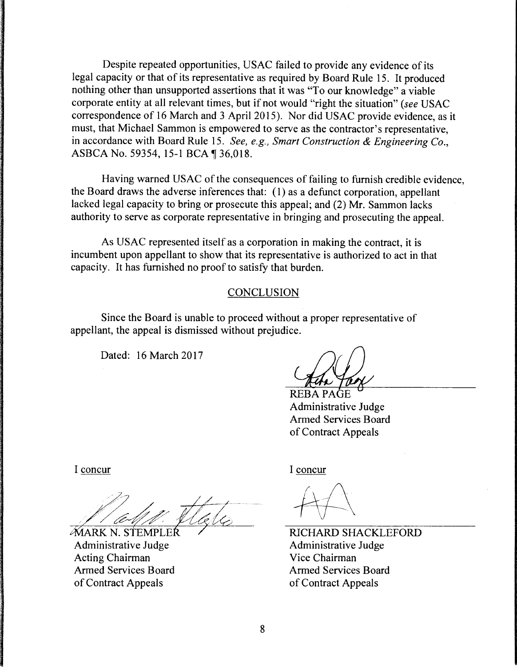Despite repeated opportunities, USAC failed to provide any evidence of its legal capacity or that of its representative as required by Board Rule 15. It produced nothing other than unsupported assertions that it was "To our knowledge" a viable corporate entity at all relevant times, but if not would "right the situation" *(see* USAC correspondence of 16 March and 3 April 2015). Nor did USAC provide evidence, as it must, that Michael Sammon is empowered to serve as the contractor's representative, in accordance with Board Rule 15. *See, e.g., Smart Construction* & *Engineering Co.,*  ASBCA No. 59354, 15-1 BCA 136,018.

Having warned USAC of the consequences of failing to furnish credible evidence, the Board draws the adverse inferences that: (I) as a defunct corporation, appellant lacked legal capacity to bring or prosecute this appeal; and (2) Mr. Sammon lacks authority to serve as corporate representative in bringing and prosecuting the appeal.

As USAC represented itself as a corporation in making the contract, it is incumbent upon appellant to show that its representative is authorized to act in that capacity. It has furnished no proof to satisfy that burden.

### CONCLUSION

Since the Board is unable to proceed without a proper representative of appellant, the appeal is dismissed without prejudice.

Dated: 16 March 2017

**REBA PAGE** Administrative Judge Armed Services Board of Contract Appeals

I concur

**MARK N. STEMPL** Administrative Judge Acting Chairman Armed Services Board of Contract Appeals

I concur

RICHARD SHACKLEFORD Administrative Judge Vice Chairman Armed Services Board of Contract Appeals